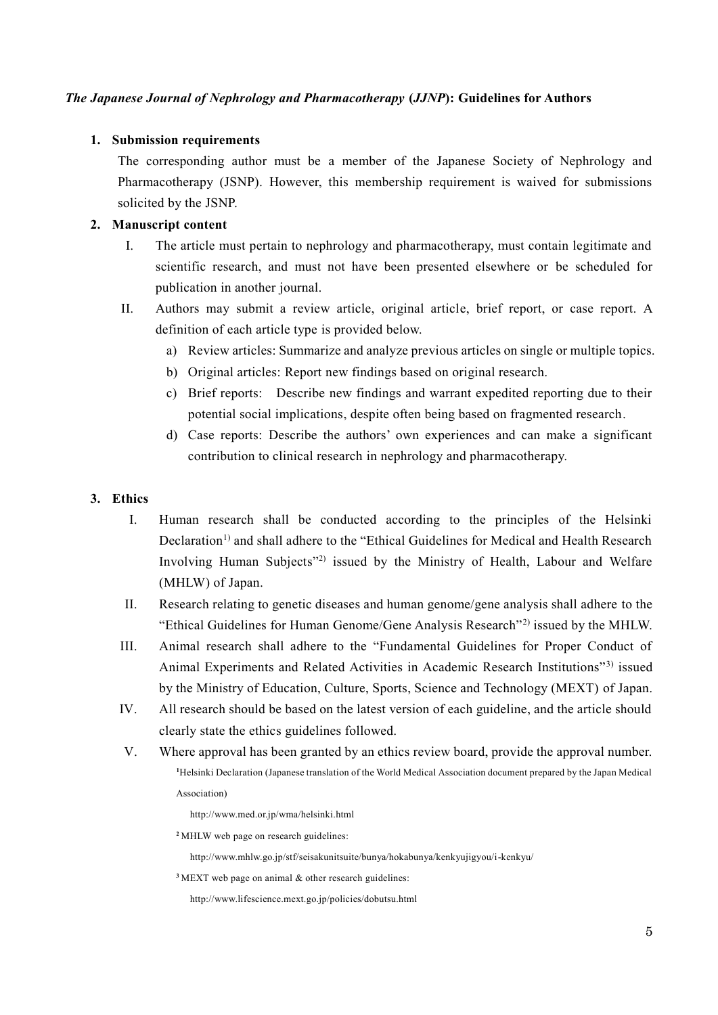### *The Japanese Journal of Nephrology and Pharmacotherapy* **(***JJNP***): Guidelines for Authors**

#### **1. Submission requirements**

The corresponding author must be a member of the Japanese Society of Nephrology and Pharmacotherapy (JSNP). However, this membership requirement is waived for submissions solicited by the JSNP.

### **2. Manuscript content**

- I. The article must pertain to nephrology and pharmacotherapy, must contain legitimate and scientific research, and must not have been presented elsewhere or be scheduled for publication in another journal.
- II. Authors may submit a review article, original article, brief report, or case report. A definition of each article type is provided below.
	- a) Review articles: Summarize and analyze previous articles on single or multiple topics.
	- b) Original articles: Report new findings based on original research.
	- c) Brief reports: Describe new findings and warrant expedited reporting due to their potential social implications, despite often being based on fragmented research.
	- d) Case reports: Describe the authors' own experiences and can make a significant contribution to clinical research in nephrology and pharmacotherapy.

#### **3. Ethics**

- I. Human research shall be conducted according to the principles of the Helsinki Declaration<sup>1)</sup> and shall adhere to the "Ethical Guidelines for Medical and Health Research Involving Human Subjects"<sup>2)</sup> issued by the Ministry of Health, Labour and Welfare (MHLW) of Japan.
- II. Research relating to genetic diseases and human genome/gene analysis shall adhere to the "Ethical Guidelines for Human Genome/Gene Analysis Research"2) issued by the MHLW.
- III. Animal research shall adhere to the "Fundamental Guidelines for Proper Conduct of Animal Experiments and Related Activities in Academic Research Institutions"3) issued by the Ministry of Education, Culture, Sports, Science and Technology (MEXT) of Japan.
- IV. All research should be based on the latest version of each guideline, and the article should clearly state the ethics guidelines followed.
- V. Where approval has been granted by an ethics review board, provide the approval number. **<sup>1</sup>**Helsinki Declaration (Japanese translation of the World Medical Association document prepared by the Japan Medical Association)
	- http://www.med.or.jp/wma/helsinki.html
	- **<sup>2</sup>** MHLW web page on research guidelines:
		- http://www.mhlw.go.jp/stf/seisakunitsuite/bunya/hokabunya/kenkyujigyou/i-kenkyu/
	- **<sup>3</sup>**MEXT web page on animal & other research guidelines:
		- http://www.lifescience.mext.go.jp/policies/dobutsu.html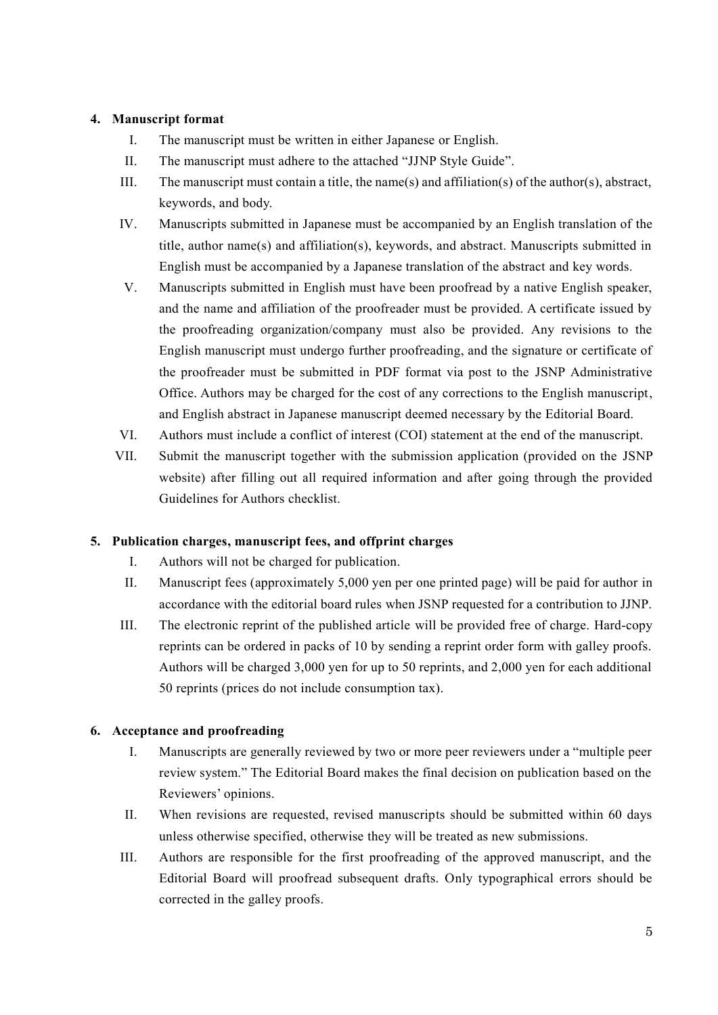# **4. Manuscript format**

- I. The manuscript must be written in either Japanese or English.
- II. The manuscript must adhere to the attached "JJNP Style Guide".
- III. The manuscript must contain a title, the name(s) and affiliation(s) of the author(s), abstract, keywords, and body.
- IV. Manuscripts submitted in Japanese must be accompanied by an English translation of the title, author name(s) and affiliation(s), keywords, and abstract. Manuscripts submitted in English must be accompanied by a Japanese translation of the abstract and key words.
- V. Manuscripts submitted in English must have been proofread by a native English speaker, and the name and affiliation of the proofreader must be provided. A certificate issued by the proofreading organization/company must also be provided. Any revisions to the English manuscript must undergo further proofreading, and the signature or certificate of the proofreader must be submitted in PDF format via post to the JSNP Administrative Office. Authors may be charged for the cost of any corrections to the English manuscript, and English abstract in Japanese manuscript deemed necessary by the Editorial Board.
- VI. Authors must include a conflict of interest (COI) statement at the end of the manuscript.
- VII. Submit the manuscript together with the submission application (provided on the JSNP website) after filling out all required information and after going through the provided Guidelines for Authors checklist.

# **5. Publication charges, manuscript fees, and offprint charges**

- I. Authors will not be charged for publication.
- II. Manuscript fees (approximately 5,000 yen per one printed page) will be paid for author in accordance with the editorial board rules when JSNP requested for a contribution to JJNP.
- III. The electronic reprint of the published article will be provided free of charge. Hard-copy reprints can be ordered in packs of 10 by sending a reprint order form with galley proofs. Authors will be charged 3,000 yen for up to 50 reprints, and 2,000 yen for each additional 50 reprints (prices do not include consumption tax).

# **6. Acceptance and proofreading**

- I. Manuscripts are generally reviewed by two or more peer reviewers under a "multiple peer review system." The Editorial Board makes the final decision on publication based on the Reviewers' opinions.
- II. When revisions are requested, revised manuscripts should be submitted within 60 days unless otherwise specified, otherwise they will be treated as new submissions.
- III. Authors are responsible for the first proofreading of the approved manuscript, and the Editorial Board will proofread subsequent drafts. Only typographical errors should be corrected in the galley proofs.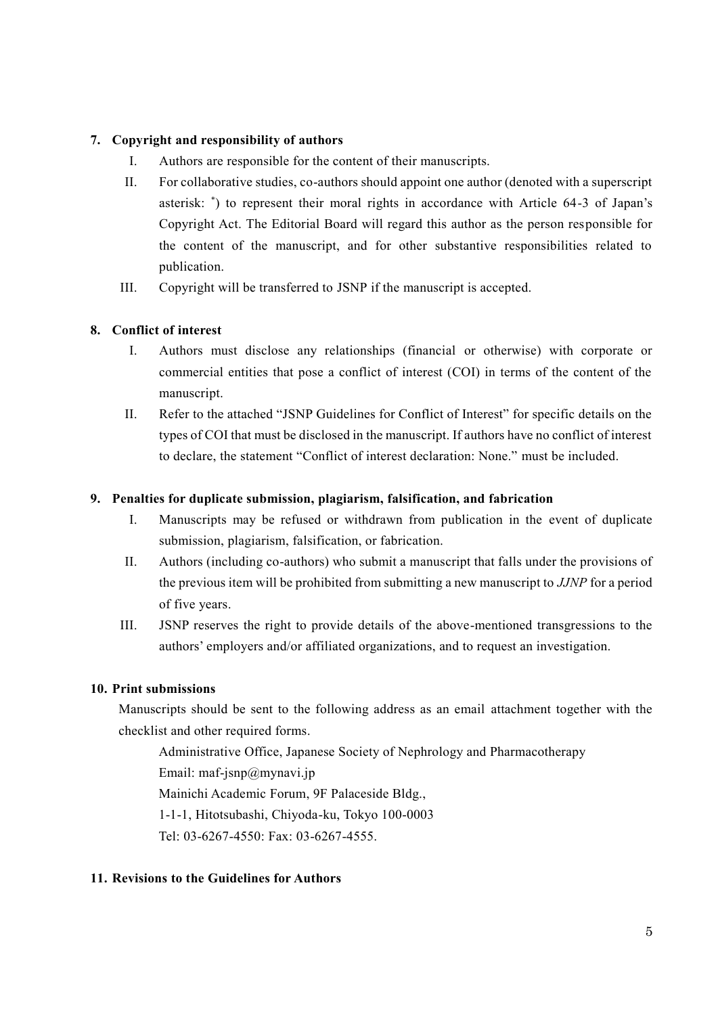# **7. Copyright and responsibility of authors**

- I. Authors are responsible for the content of their manuscripts.
- II. For collaborative studies, co-authors should appoint one author (denoted with a superscript asterisk: \* ) to represent their moral rights in accordance with Article 64-3 of Japan's Copyright Act. The Editorial Board will regard this author as the person responsible for the content of the manuscript, and for other substantive responsibilities related to publication.
- III. Copyright will be transferred to JSNP if the manuscript is accepted.

# **8. Conflict of interest**

- I. Authors must disclose any relationships (financial or otherwise) with corporate or commercial entities that pose a conflict of interest (COI) in terms of the content of the manuscript.
- II. Refer to the attached "JSNP Guidelines for Conflict of Interest" for specific details on the types of COI that must be disclosed in the manuscript. If authors have no conflict of interest to declare, the statement "Conflict of interest declaration: None." must be included.

# **9. Penalties for duplicate submission, plagiarism, falsification, and fabrication**

- I. Manuscripts may be refused or withdrawn from publication in the event of duplicate submission, plagiarism, falsification, or fabrication.
- II. Authors (including co-authors) who submit a manuscript that falls under the provisions of the previous item will be prohibited from submitting a new manuscript to *JJNP* for a period of five years.
- III. JSNP reserves the right to provide details of the above-mentioned transgressions to the authors' employers and/or affiliated organizations, and to request an investigation.

# **10. Print submissions**

Manuscripts should be sent to the following address as an email attachment together with the checklist and other required forms.

Administrative Office, Japanese Society of Nephrology and Pharmacotherapy

Email: maf-jsnp@mynavi.jp

Mainichi Academic Forum, 9F Palaceside Bldg.,

1-1-1, Hitotsubashi, Chiyoda-ku, Tokyo 100-0003

Tel: 03-6267-4550: Fax: 03-6267-4555.

# **11. Revisions to the Guidelines for Authors**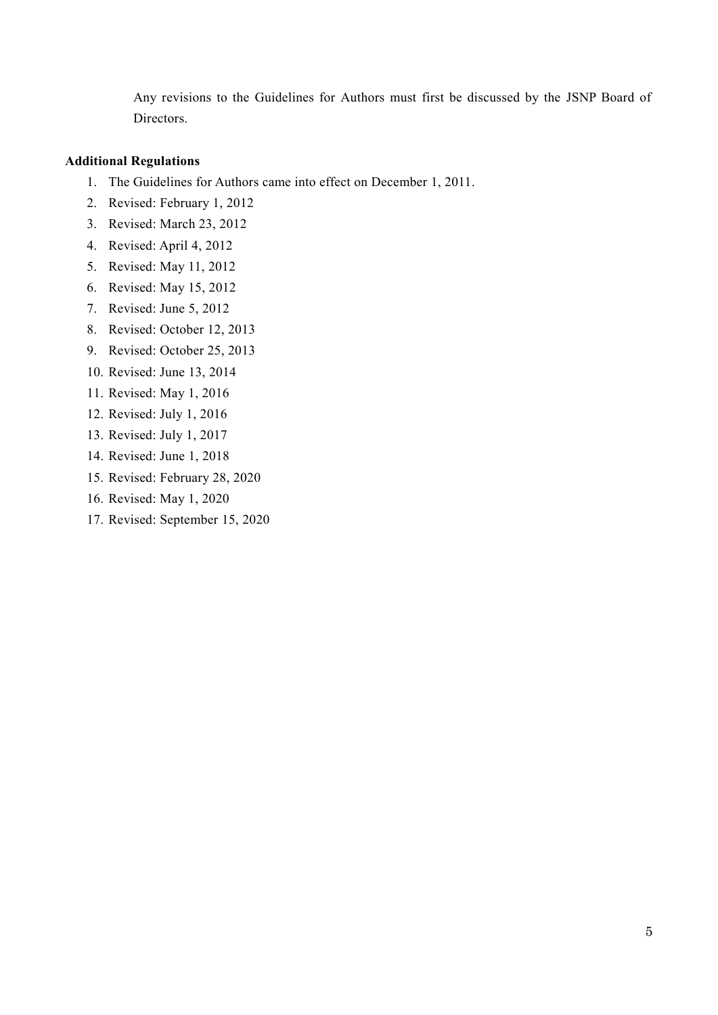Any revisions to the Guidelines for Authors must first be discussed by the JSNP Board of Directors.

### **Additional Regulations**

- 1. The Guidelines for Authors came into effect on December 1, 2011.
- 2. Revised: February 1, 2012
- 3. Revised: March 23, 2012
- 4. Revised: April 4, 2012
- 5. Revised: May 11, 2012
- 6. Revised: May 15, 2012
- 7. Revised: June 5, 2012
- 8. Revised: October 12, 2013
- 9. Revised: October 25, 2013
- 10. Revised: June 13, 2014
- 11. Revised: May 1, 2016
- 12. Revised: July 1, 2016
- 13. Revised: July 1, 2017
- 14. Revised: June 1, 2018
- 15. Revised: February 28, 2020
- 16. Revised: May 1, 2020
- 17. Revised: September 15, 2020